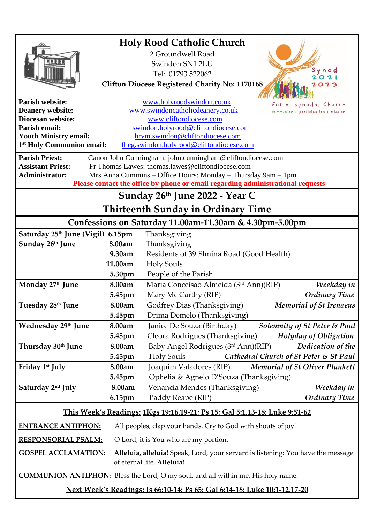| <b>Holy Rood Catholic Church</b>                                                                                                                                         |                                                                                                   |                                                                                  |
|--------------------------------------------------------------------------------------------------------------------------------------------------------------------------|---------------------------------------------------------------------------------------------------|----------------------------------------------------------------------------------|
|                                                                                                                                                                          |                                                                                                   | 2 Groundwell Road                                                                |
|                                                                                                                                                                          |                                                                                                   | Swindon SN1 2LU                                                                  |
|                                                                                                                                                                          |                                                                                                   | Synod<br>Tel: 01793 522062<br>$\Omega$                                           |
|                                                                                                                                                                          |                                                                                                   | <b>Clifton Diocese Registered Charity No: 1170168</b><br>023                     |
|                                                                                                                                                                          |                                                                                                   |                                                                                  |
| <b>Parish website:</b>                                                                                                                                                   |                                                                                                   | www.holyroodswindon.co.uk<br>synodal Church                                      |
| <b>Deanery website:</b><br><b>Diocesan website:</b>                                                                                                                      | www.swindoncatholicdeanery.co.uk<br>communion   participation   mission<br>www.cliftondiocese.com |                                                                                  |
| Parish email:                                                                                                                                                            | swindon.holyrood@cliftondiocese.com                                                               |                                                                                  |
| <b>Youth Ministry email:</b><br>hrym.swindon@cliftondiocese.com                                                                                                          |                                                                                                   |                                                                                  |
| 1 <sup>st</sup> Holy Communion email:                                                                                                                                    |                                                                                                   | fhcg.swindon.holyrood@cliftondiocese.com                                         |
| <b>Parish Priest:</b><br>Canon John Cunningham: john.cunningham@cliftondiocese.com                                                                                       |                                                                                                   |                                                                                  |
| <b>Assistant Priest:</b><br>Fr Thomas Lawes: thomas.lawes@cliftondiocese.com                                                                                             |                                                                                                   |                                                                                  |
| <b>Administrator:</b><br>Mrs Anna Cummins – Office Hours: Monday – Thursday 9am – 1pm<br>Please contact the office by phone or email regarding administrational requests |                                                                                                   |                                                                                  |
| Sunday 26th June 2022 - Year C                                                                                                                                           |                                                                                                   |                                                                                  |
| <b>Thirteenth Sunday in Ordinary Time</b>                                                                                                                                |                                                                                                   |                                                                                  |
| Confessions on Saturday 11.00am-11.30am & 4.30pm-5.00pm                                                                                                                  |                                                                                                   |                                                                                  |
| Saturday 25th June (Vigil) 6.15pm                                                                                                                                        |                                                                                                   |                                                                                  |
| Sunday 26th June                                                                                                                                                         | 8.00am                                                                                            | Thanksgiving<br>Thanksgiving                                                     |
|                                                                                                                                                                          | 9.30am                                                                                            | Residents of 39 Elmina Road (Good Health)                                        |
|                                                                                                                                                                          | 11.00am                                                                                           | <b>Holy Souls</b>                                                                |
|                                                                                                                                                                          | 5.30pm                                                                                            | People of the Parish                                                             |
| Monday 27th June                                                                                                                                                         | 8.00am                                                                                            | Maria Conceisao Almeida (3rd Ann)(RIP)<br>Weekday in                             |
|                                                                                                                                                                          | 5.45pm                                                                                            | Mary Mc Carthy (RIP)<br><b>Ordinary Time</b>                                     |
| Tuesday 28th June                                                                                                                                                        | 8.00am                                                                                            | <b>Memorial of St Irenaeus</b><br>Godfrey Dias (Thanksgiving)                    |
|                                                                                                                                                                          | 5.45pm                                                                                            | Drima Demelo (Thanksgiving)                                                      |
| Wednesday 29th June                                                                                                                                                      | 8.00am                                                                                            | Janice De Souza (Birthday)<br>Solemnity of St Peter & Paul                       |
|                                                                                                                                                                          | 5.45pm                                                                                            | Cleora Rodrigues (Thanksgiving)<br><b>Holyday of Obligation</b>                  |
| Thursday 30th June                                                                                                                                                       | 8.00am                                                                                            | Baby Angel Rodrigues (3rd Ann)(RIP)<br>Dedication of the                         |
|                                                                                                                                                                          | 5.45pm                                                                                            | Cathedral Church of St Peter & St Paul<br><b>Holy Souls</b>                      |
| Friday 1 <sup>st</sup> July                                                                                                                                              | 8.00am                                                                                            | Joaquim Valadores (RIP)<br><b>Memorial of St Oliver Plunkett</b>                 |
|                                                                                                                                                                          | 5.45pm                                                                                            | Ophelia & Agnelo D'Souza (Thanksgiving)                                          |
| Saturday 2nd July                                                                                                                                                        | 8.00am                                                                                            | Venancia Mendes (Thanksgiving)<br>Weekday in                                     |
|                                                                                                                                                                          | 6.15pm                                                                                            | <b>Ordinary Time</b><br>Paddy Reape (RIP)                                        |
| This Week's Readings: 1Kgs 19:16,19-21; Ps 15; Gal 5:1,13-18; Luke 9:51-62                                                                                               |                                                                                                   |                                                                                  |
| <b>ENTRANCE ANTIPHON:</b>                                                                                                                                                |                                                                                                   | All peoples, clap your hands. Cry to God with shouts of joy!                     |
| <b>RESPONSORIAL PSALM:</b>                                                                                                                                               | O Lord, it is You who are my portion.                                                             |                                                                                  |
| <b>GOSPEL ACCLAMATION:</b>                                                                                                                                               |                                                                                                   | Alleluia, alleluia! Speak, Lord, your servant is listening: You have the message |
|                                                                                                                                                                          |                                                                                                   | of eternal life. Alleluia!                                                       |
| <b>COMMUNION ANTIPHON:</b> Bless the Lord, O my soul, and all within me, His holy name.                                                                                  |                                                                                                   |                                                                                  |
| Next Week's Readings: Is 66:10-14; Ps 65; Gal 6:14-18; Luke 10:1-12,17-20                                                                                                |                                                                                                   |                                                                                  |
|                                                                                                                                                                          |                                                                                                   |                                                                                  |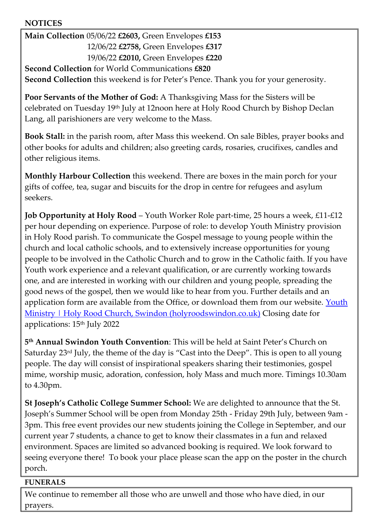## **NOTICES**

**Main Collection** 05/06/22 **£2603,** Green Envelopes **£153** 12/06/22 **£2758,** Green Envelopes **£317** 19/06/22 **£2010,** Green Envelopes **£220 Second Collection** for World Communications **£820**

**Second Collection** this weekend is for Peter's Pence. Thank you for your generosity.

**Poor Servants of the Mother of God:** A Thanksgiving Mass for the Sisters will be celebrated on Tuesday 19th July at 12noon here at Holy Rood Church by Bishop Declan Lang, all parishioners are very welcome to the Mass.

**Book Stall:** in the parish room, after Mass this weekend. On sale Bibles, prayer books and other books for adults and children; also greeting cards, rosaries, crucifixes, candles and other religious items.

**Monthly Harbour Collection** this weekend. There are boxes in the main porch for your gifts of coffee, tea, sugar and biscuits for the drop in centre for refugees and asylum seekers.

**Job Opportunity at Holy Rood** – Youth Worker Role part-time, 25 hours a week, £11-£12 per hour depending on experience. Purpose of role: to develop Youth Ministry provision in Holy Rood parish. To communicate the Gospel message to young people within the church and local catholic schools, and to extensively increase opportunities for young people to be involved in the Catholic Church and to grow in the Catholic faith. If you have Youth work experience and a relevant qualification, or are currently working towards one, and are interested in working with our children and young people, spreading the good news of the gospel, then we would like to hear from you. Further details and an application form are available from the Office, or download them from our website. Youth [Ministry | Holy Rood Church, Swindon \(holyroodswindon.co.uk\)](https://eur02.safelinks.protection.outlook.com/?url=https%3A%2F%2Fwww.holyroodswindon.co.uk%2Fyouth-ministry&data=05%7C01%7Cswindon.holyrood%40cliftondiocese.com%7Ca9e74a0c9d8c4e56555208da42d98795%7Cf10b8f13604e4fa29e1204a7fad22e94%7C0%7C0%7C637895799552873662%7CUnknown%7CTWFpbGZsb3d8eyJWIjoiMC4wLjAwMDAiLCJQIjoiV2luMzIiLCJBTiI6Ik1haWwiLCJXVCI6Mn0%3D%7C3000%7C%7C%7C&sdata=or3mWJhL1NpsEBUhRXa0yEj23x7P2Ww07yYhF%2BxVK1k%3D&reserved=0) Closing date for applications: 15th July 2022

**5 th Annual Swindon Youth Convention**: This will be held at Saint Peter's Church on Saturday 23rd July, the theme of the day is "Cast into the Deep". This is open to all young people. The day will consist of inspirational speakers sharing their testimonies, gospel mime, worship music, adoration, confession, holy Mass and much more. Timings 10.30am to 4.30pm.

**St Joseph's Catholic College Summer School:** We are delighted to announce that the St. Joseph's Summer School will be open from Monday 25th - Friday 29th July, between 9am - 3pm. This free event provides our new students joining the College in September, and our current year 7 students, a chance to get to know their classmates in a fun and relaxed environment. Spaces are limited so advanced booking is required. We look forward to seeing everyone there! To book your place please scan the app on the poster in the church porch.

## **FUNERALS**

We continue to remember all those who are unwell and those who have died, in our prayers.